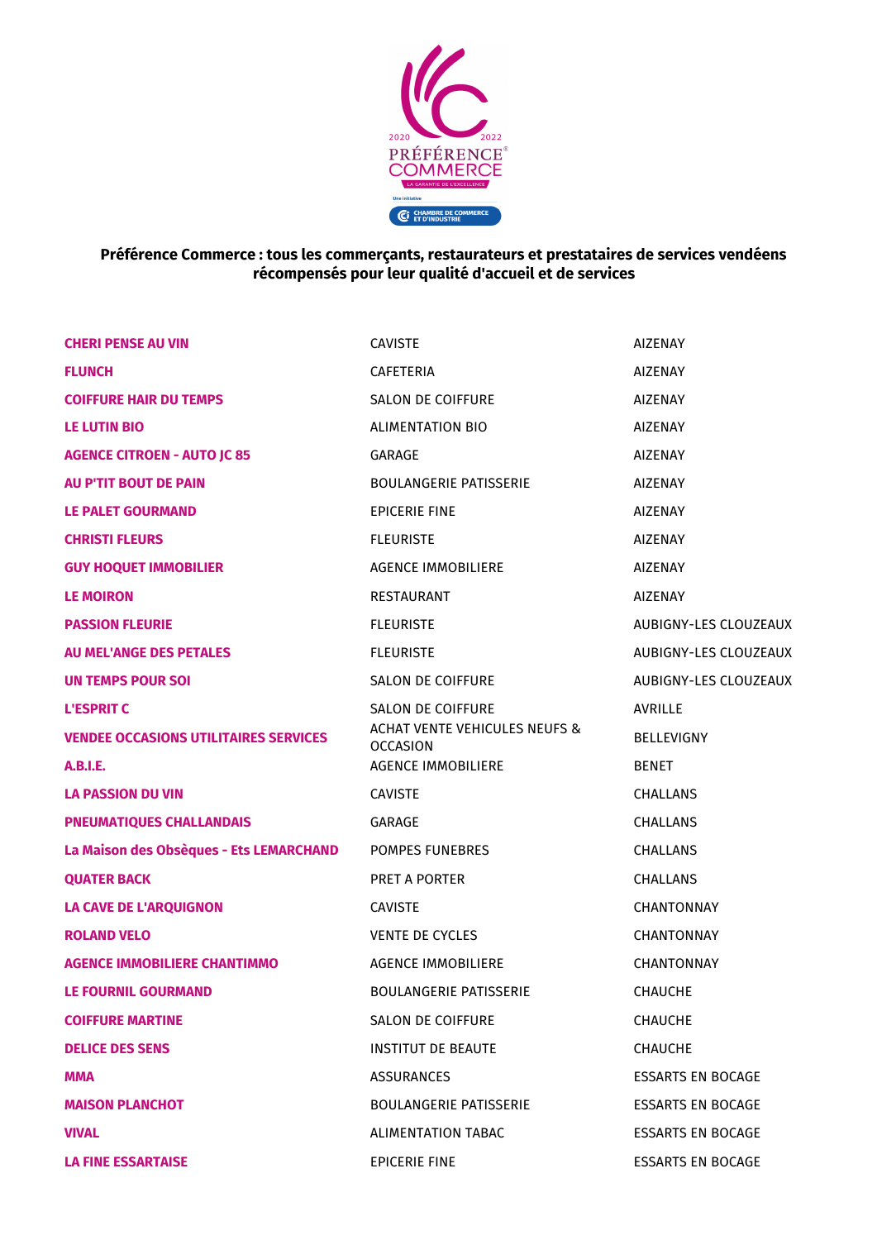

## **Préférence Commerce : tous les commerçants, restaurateurs et prestataires de services vendéens récompensés pour leur qualité d'accueil et de services**

| <b>CHERI PENSE AU VIN</b>                    | <b>CAVISTE</b>                                                                   | <b>AIZENAY</b>           |
|----------------------------------------------|----------------------------------------------------------------------------------|--------------------------|
| <b>FLUNCH</b>                                | <b>CAFETERIA</b>                                                                 | <b>AIZENAY</b>           |
| <b>COIFFURE HAIR DU TEMPS</b>                | SALON DE COIFFURE                                                                | <b>AIZENAY</b>           |
| <b>LE LUTIN BIO</b>                          | <b>ALIMENTATION BIO</b>                                                          | <b>AIZENAY</b>           |
| <b>AGENCE CITROEN - AUTO JC 85</b>           | GARAGE                                                                           | <b>AIZENAY</b>           |
| <b>AU P'TIT BOUT DE PAIN</b>                 | <b>BOULANGERIE PATISSERIE</b>                                                    | <b>AIZENAY</b>           |
| <b>LE PALET GOURMAND</b>                     | <b>EPICERIE FINE</b>                                                             | <b>AIZENAY</b>           |
| <b>CHRISTI FLEURS</b>                        | <b>FLEURISTE</b>                                                                 | <b>AIZENAY</b>           |
| <b>GUY HOQUET IMMOBILIER</b>                 | <b>AGENCE IMMOBILIERE</b>                                                        | <b>AIZENAY</b>           |
| <b>LE MOIRON</b>                             | <b>RESTAURANT</b>                                                                | <b>AIZENAY</b>           |
| <b>PASSION FLEURIE</b>                       | <b>FLEURISTE</b>                                                                 | AUBIGNY-LES CLOUZEAUX    |
| <b>AU MEL'ANGE DES PETALES</b>               | <b>FLEURISTE</b>                                                                 | AUBIGNY-LES CLOUZEAUX    |
| <b>UN TEMPS POUR SOI</b>                     | SALON DE COIFFURE                                                                | AUBIGNY-LES CLOUZEAUX    |
| <b>L'ESPRIT C</b>                            | SALON DE COIFFURE<br><b>ACHAT VENTE VEHICULES NEUFS &amp;</b><br><b>OCCASION</b> | <b>AVRILLE</b>           |
| <b>VENDEE OCCASIONS UTILITAIRES SERVICES</b> |                                                                                  | <b>BELLEVIGNY</b>        |
| <b>A.B.I.E.</b>                              | <b>AGENCE IMMOBILIERE</b>                                                        | <b>BENET</b>             |
| <b>LA PASSION DU VIN</b>                     | <b>CAVISTE</b>                                                                   | <b>CHALLANS</b>          |
| <b>PNEUMATIQUES CHALLANDAIS</b>              | GARAGE                                                                           | <b>CHALLANS</b>          |
| La Maison des Obsèques - Ets LEMARCHAND      | <b>POMPES FUNEBRES</b>                                                           | <b>CHALLANS</b>          |
| <b>QUATER BACK</b>                           | <b>PRET A PORTER</b>                                                             | CHALLANS                 |
| <b>LA CAVE DE L'ARQUIGNON</b>                | <b>CAVISTE</b>                                                                   | <b>CHANTONNAY</b>        |
| <b>ROLAND VELO</b>                           | <b>VENTE DE CYCLES</b>                                                           | <b>CHANTONNAY</b>        |
| <b>AGENCE IMMOBILIERE CHANTIMMO</b>          | <b>AGENCE IMMOBILIERE</b>                                                        | <b>CHANTONNAY</b>        |
| <b>LE FOURNIL GOURMAND</b>                   | <b>BOULANGERIE PATISSERIE</b>                                                    | <b>CHAUCHE</b>           |
| <b>COIFFURE MARTINE</b>                      | <b>SALON DE COIFFURE</b>                                                         | <b>CHAUCHE</b>           |
| <b>DELICE DES SENS</b>                       | <b>INSTITUT DE BEAUTE</b>                                                        | <b>CHAUCHE</b>           |
| MMA                                          | <b>ASSURANCES</b>                                                                | <b>ESSARTS EN BOCAGE</b> |
| <b>MAISON PLANCHOT</b>                       | <b>BOULANGERIE PATISSERIE</b>                                                    | <b>ESSARTS EN BOCAGE</b> |
| <b>VIVAL</b>                                 | <b>ALIMENTATION TABAC</b>                                                        | <b>ESSARTS EN BOCAGE</b> |
| <b>LA FINE ESSARTAISE</b>                    | <b>EPICERIE FINE</b>                                                             | <b>ESSARTS EN BOCAGE</b> |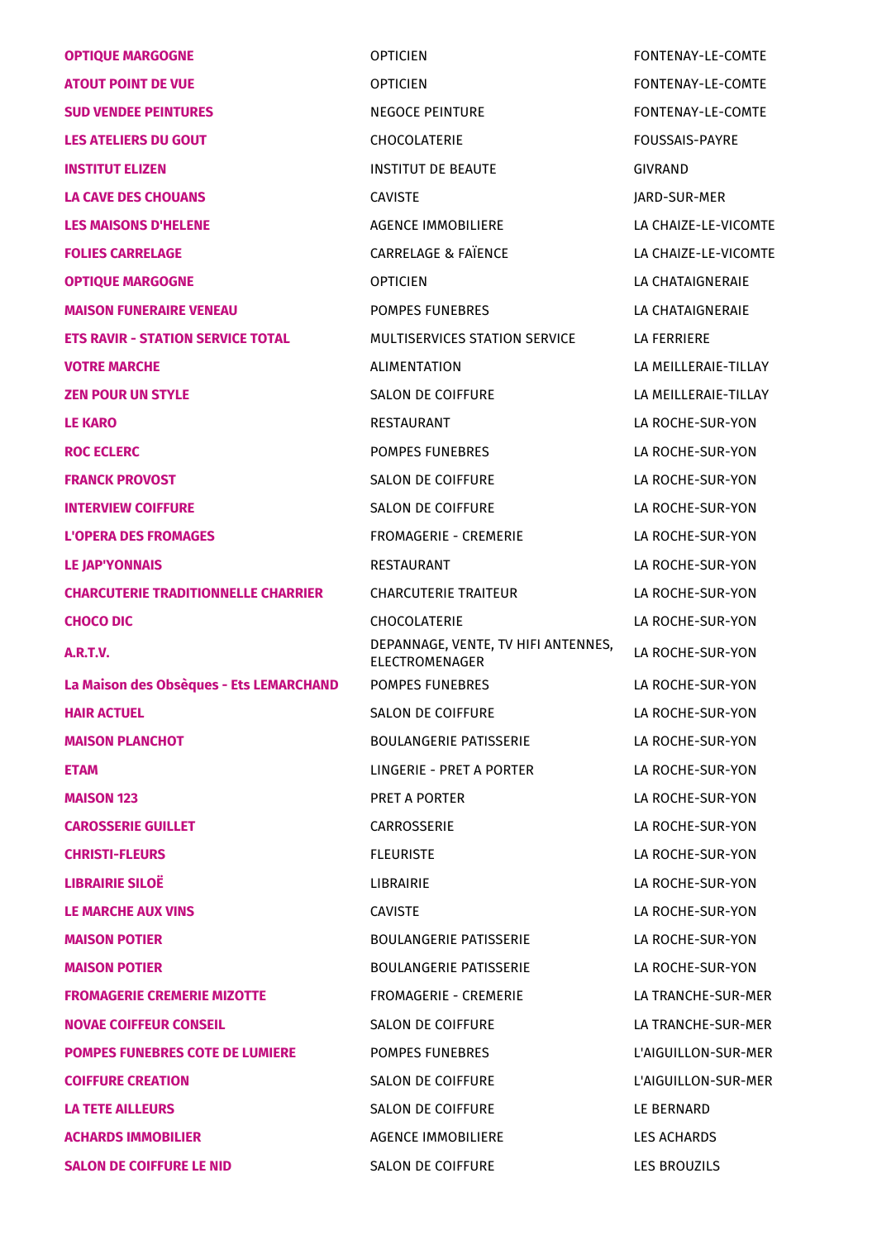| <b>OPTIQUE MARGOGNE</b>                    | <b>OPTICIEN</b>                                       | FONTENAY-LE-COMTE     |
|--------------------------------------------|-------------------------------------------------------|-----------------------|
| <b>ATOUT POINT DE VUE</b>                  | <b>OPTICIEN</b>                                       | FONTENAY-LE-COMTE     |
| <b>SUD VENDEE PEINTURES</b>                | <b>NEGOCE PEINTURE</b>                                | FONTENAY-LE-COMTE     |
| <b>LES ATELIERS DU GOUT</b>                | CHOCOLATERIE                                          | <b>FOUSSAIS-PAYRE</b> |
| <b>INSTITUT ELIZEN</b>                     | <b>INSTITUT DE BEAUTE</b>                             | <b>GIVRAND</b>        |
| <b>LA CAVE DES CHOUANS</b>                 | <b>CAVISTE</b>                                        | JARD-SUR-MER          |
| <b>LES MAISONS D'HELENE</b>                | <b>AGENCE IMMOBILIERE</b>                             | LA CHAIZE-LE-VICOMTE  |
| <b>FOLIES CARRELAGE</b>                    | <b>CARRELAGE &amp; FAÏENCE</b>                        | LA CHAIZE-LE-VICOMTE  |
| <b>OPTIQUE MARGOGNE</b>                    | <b>OPTICIEN</b>                                       | LA CHATAIGNERAIE      |
| <b>MAISON FUNERAIRE VENEAU</b>             | <b>POMPES FUNEBRES</b>                                | LA CHATAIGNERAIE      |
| <b>ETS RAVIR - STATION SERVICE TOTAL</b>   | MULTISERVICES STATION SERVICE                         | <b>LA FERRIERE</b>    |
| <b>VOTRE MARCHE</b>                        | <b>ALIMENTATION</b>                                   | LA MEILLERAIE-TILLAY  |
| <b>ZEN POUR UN STYLE</b>                   | <b>SALON DE COIFFURE</b>                              | LA MEILLERAIE-TILLAY  |
| <b>LE KARO</b>                             | <b>RESTAURANT</b>                                     | LA ROCHE-SUR-YON      |
| <b>ROC ECLERC</b>                          | <b>POMPES FUNEBRES</b>                                | LA ROCHE-SUR-YON      |
| <b>FRANCK PROVOST</b>                      | SALON DE COIFFURE                                     | LA ROCHE-SUR-YON      |
| <b>INTERVIEW COIFFURE</b>                  | <b>SALON DE COIFFURE</b>                              | LA ROCHE-SUR-YON      |
| <b>L'OPERA DES FROMAGES</b>                | <b>FROMAGERIE - CREMERIE</b>                          | LA ROCHE-SUR-YON      |
| <b>LE JAP'YONNAIS</b>                      | <b>RESTAURANT</b>                                     | LA ROCHE-SUR-YON      |
| <b>CHARCUTERIE TRADITIONNELLE CHARRIER</b> | <b>CHARCUTERIE TRAITEUR</b>                           | LA ROCHE-SUR-YON      |
| <b>CHOCO DIC</b>                           | CHOCOLATERIE                                          | LA ROCHE-SUR-YON      |
| A.R.T.V.                                   | DEPANNAGE, VENTE, TV HIFI ANTENNES,<br>ELECTROMENAGER | LA ROCHE-SUR-YON      |
| La Maison des Obsèques - Ets LEMARCHAND    | POMPES FUNEBRES                                       | LA ROCHE-SUR-YON      |
| <b>HAIR ACTUEL</b>                         | <b>SALON DE COIFFURE</b>                              | LA ROCHE-SUR-YON      |
| <b>MAISON PLANCHOT</b>                     | <b>BOULANGERIE PATISSERIE</b>                         | LA ROCHE-SUR-YON      |
| <b>ETAM</b>                                | LINGERIE - PRET A PORTER                              | LA ROCHE-SUR-YON      |
| <b>MAISON 123</b>                          | <b>PRET A PORTER</b>                                  | LA ROCHE-SUR-YON      |
| <b>CAROSSERIE GUILLET</b>                  | <b>CARROSSERIE</b>                                    | LA ROCHE-SUR-YON      |
| <b>CHRISTI-FLEURS</b>                      | <b>FLEURISTE</b>                                      | LA ROCHE-SUR-YON      |
| <b>LIBRAIRIE SILOË</b>                     | LIBRAIRIE                                             | LA ROCHE-SUR-YON      |
| <b>LE MARCHE AUX VINS</b>                  | <b>CAVISTE</b>                                        | LA ROCHE-SUR-YON      |
| <b>MAISON POTIER</b>                       | <b>BOULANGERIE PATISSERIE</b>                         | LA ROCHE-SUR-YON      |
| <b>MAISON POTIER</b>                       | <b>BOULANGERIE PATISSERIE</b>                         | LA ROCHE-SUR-YON      |
| <b>FROMAGERIE CREMERIE MIZOTTE</b>         | <b>FROMAGERIE - CREMERIE</b>                          | LA TRANCHE-SUR-MER    |
| <b>NOVAE COIFFEUR CONSEIL</b>              | <b>SALON DE COIFFURE</b>                              | LA TRANCHE-SUR-MER    |
| <b>POMPES FUNEBRES COTE DE LUMIERE</b>     | <b>POMPES FUNEBRES</b>                                | L'AIGUILLON-SUR-MER   |
| <b>COIFFURE CREATION</b>                   | <b>SALON DE COIFFURE</b>                              | L'AIGUILLON-SUR-MER   |
| <b>LA TETE AILLEURS</b>                    | <b>SALON DE COIFFURE</b>                              | LE BERNARD            |
| <b>ACHARDS IMMOBILIER</b>                  | AGENCE IMMOBILIERE                                    | LES ACHARDS           |
| <b>SALON DE COIFFURE LE NID</b>            | SALON DE COIFFURE                                     | <b>LES BROUZILS</b>   |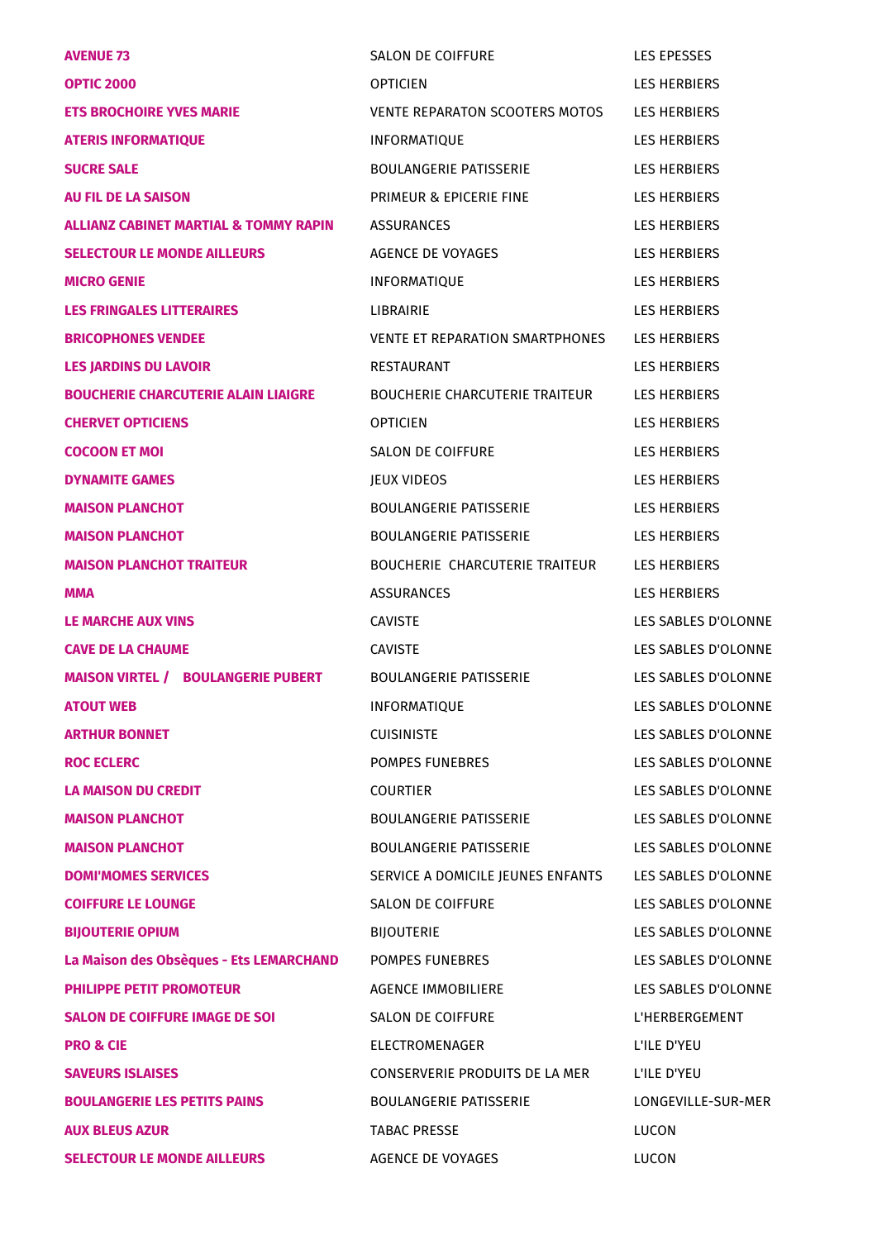| <b>AVENUE 73</b>                                 | <b>SALON DE COIFFURE</b>               | <b>LES EPESSES</b>    |
|--------------------------------------------------|----------------------------------------|-----------------------|
| <b>OPTIC 2000</b>                                | <b>OPTICIEN</b>                        | <b>LES HERBIERS</b>   |
| <b>ETS BROCHOIRE YVES MARIE</b>                  | VENTE REPARATON SCOOTERS MOTOS         | <b>LES HERBIERS</b>   |
| <b>ATERIS INFORMATIQUE</b>                       | <b>INFORMATIQUE</b>                    | <b>LES HERBIERS</b>   |
| <b>SUCRE SALE</b>                                | BOULANGERIE PATISSERIE                 | <b>LES HERBIERS</b>   |
| <b>AU FIL DE LA SAISON</b>                       | PRIMEUR & EPICERIE FINE                | <b>LES HERBIERS</b>   |
| <b>ALLIANZ CABINET MARTIAL &amp; TOMMY RAPIN</b> | <b>ASSURANCES</b>                      | <b>LES HERBIERS</b>   |
| <b>SELECTOUR LE MONDE AILLEURS</b>               | AGENCE DE VOYAGES                      | <b>LES HERBIERS</b>   |
| <b>MICRO GENIE</b>                               | <b>INFORMATIQUE</b>                    | <b>LES HERBIERS</b>   |
| <b>LES FRINGALES LITTERAIRES</b>                 | <b>LIBRAIRIE</b>                       | <b>LES HERBIERS</b>   |
| <b>BRICOPHONES VENDEE</b>                        | <b>VENTE ET REPARATION SMARTPHONES</b> | <b>LES HERBIERS</b>   |
| <b>LES JARDINS DU LAVOIR</b>                     | RESTAURANT                             | <b>LES HERBIERS</b>   |
| <b>BOUCHERIE CHARCUTERIE ALAIN LIAIGRE</b>       | BOUCHERIE CHARCUTERIE TRAITEUR         | <b>LES HERBIERS</b>   |
| <b>CHERVET OPTICIENS</b>                         | <b>OPTICIEN</b>                        | <b>LES HERBIERS</b>   |
| <b>COCOON ET MOI</b>                             | SALON DE COIFFURE                      | <b>LES HERBIERS</b>   |
| <b>DYNAMITE GAMES</b>                            | JEUX VIDEOS                            | <b>LES HERBIERS</b>   |
| <b>MAISON PLANCHOT</b>                           | BOULANGERIE PATISSERIE                 | <b>LES HERBIERS</b>   |
| <b>MAISON PLANCHOT</b>                           | <b>BOULANGERIE PATISSERIE</b>          | <b>LES HERBIERS</b>   |
| <b>MAISON PLANCHOT TRAITEUR</b>                  | BOUCHERIE CHARCUTERIE TRAITEUR         | <b>LES HERBIERS</b>   |
| <b>MMA</b>                                       | <b>ASSURANCES</b>                      | <b>LES HERBIERS</b>   |
| <b>LE MARCHE AUX VINS</b>                        | <b>CAVISTE</b>                         | LES SABLES D'OLONNE   |
| <b>CAVE DE LA CHAUME</b>                         | <b>CAVISTE</b>                         | LES SABLES D'OLONNE   |
| <b>MAISON VIRTEL / BOULANGERIE PUBERT</b>        | <b>BOULANGERIE PATISSERIE</b>          | LES SABLES D'OLONNE   |
| <b>ATOUT WEB</b>                                 | INFORMATIQUE                           | LES SABLES D'OLONNE   |
| <b>ARTHUR BONNET</b>                             | <b>CUISINISTE</b>                      | LES SABLES D'OLONNE   |
| <b>ROC ECLERC</b>                                | POMPES FUNEBRES                        | LES SABLES D'OLONNE   |
| <b>LA MAISON DU CREDIT</b>                       | <b>COURTIER</b>                        | LES SABLES D'OLONNE   |
| <b>MAISON PLANCHOT</b>                           | BOULANGERIE PATISSERIE                 | LES SABLES D'OLONNE   |
| <b>MAISON PLANCHOT</b>                           | <b>BOULANGERIE PATISSERIE</b>          | LES SABLES D'OLONNE   |
| <b>DOMI'MOMES SERVICES</b>                       | SERVICE A DOMICILE JEUNES ENFANTS      | LES SABLES D'OLONNE   |
| <b>COIFFURE LE LOUNGE</b>                        | <b>SALON DE COIFFURE</b>               | LES SABLES D'OLONNE   |
| <b>BIJOUTERIE OPIUM</b>                          | <b>BIJOUTERIE</b>                      | LES SABLES D'OLONNE   |
| La Maison des Obsèques - Ets LEMARCHAND          | POMPES FUNEBRES                        | LES SABLES D'OLONNE   |
| <b>PHILIPPE PETIT PROMOTEUR</b>                  | <b>AGENCE IMMOBILIERE</b>              | LES SABLES D'OLONNE   |
| <b>SALON DE COIFFURE IMAGE DE SOI</b>            | SALON DE COIFFURE                      | <b>L'HERBERGEMENT</b> |
| <b>PRO &amp; CIE</b>                             | ELECTROMENAGER                         | L'ILE D'YEU           |
| <b>SAVEURS ISLAISES</b>                          | CONSERVERIE PRODUITS DE LA MER         | L'ILE D'YEU           |
| <b>BOULANGERIE LES PETITS PAINS</b>              | <b>BOULANGERIE PATISSERIE</b>          | LONGEVILLE-SUR-MER    |
| <b>AUX BLEUS AZUR</b>                            | <b>TABAC PRESSE</b>                    | LUCON                 |
| <b>SELECTOUR LE MONDE AILLEURS</b>               | AGENCE DE VOYAGES                      | LUCON                 |